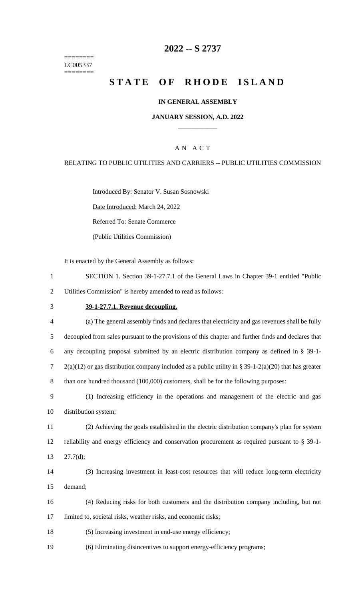======== LC005337 ========

# **2022 -- S 2737**

# **STATE OF RHODE ISLAND**

#### **IN GENERAL ASSEMBLY**

#### **JANUARY SESSION, A.D. 2022 \_\_\_\_\_\_\_\_\_\_\_\_**

### A N A C T

#### RELATING TO PUBLIC UTILITIES AND CARRIERS -- PUBLIC UTILITIES COMMISSION

Introduced By: Senator V. Susan Sosnowski

Date Introduced: March 24, 2022

Referred To: Senate Commerce

(Public Utilities Commission)

It is enacted by the General Assembly as follows:

- 1 SECTION 1. Section 39-1-27.7.1 of the General Laws in Chapter 39-1 entitled "Public 2 Utilities Commission" is hereby amended to read as follows:
- 3 **39-1-27.7.1. Revenue decoupling.**
- 4 (a) The general assembly finds and declares that electricity and gas revenues shall be fully 5 decoupled from sales pursuant to the provisions of this chapter and further finds and declares that 6 any decoupling proposal submitted by an electric distribution company as defined in § 39-1- 7 2(a)(12) or gas distribution company included as a public utility in § 39-1-2(a)(20) that has greater 8 than one hundred thousand (100,000) customers, shall be for the following purposes:
- 9 (1) Increasing efficiency in the operations and management of the electric and gas 10 distribution system;
- 11 (2) Achieving the goals established in the electric distribution company's plan for system 12 reliability and energy efficiency and conservation procurement as required pursuant to § 39-1- 13 27.7(d);
- 14 (3) Increasing investment in least-cost resources that will reduce long-term electricity 15 demand;
- 16 (4) Reducing risks for both customers and the distribution company including, but not 17 limited to, societal risks, weather risks, and economic risks;
- 18 (5) Increasing investment in end-use energy efficiency;
- 19 (6) Eliminating disincentives to support energy-efficiency programs;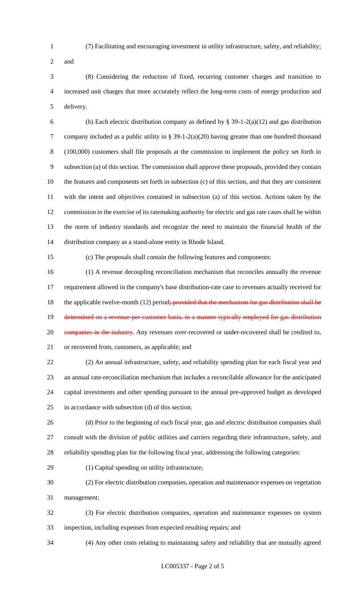- (7) Facilitating and encouraging investment in utility infrastructure, safety, and reliability;
- and

 (8) Considering the reduction of fixed, recurring customer charges and transition to increased unit charges that more accurately reflect the long-term costs of energy production and delivery.

6 (b) Each electric distribution company as defined by  $\S$  39-1-2(a)(12) and gas distribution company included as a public utility in § 39-1-2(a)(20) having greater than one hundred thousand (100,000) customers shall file proposals at the commission to implement the policy set forth in subsection (a) of this section. The commission shall approve these proposals, provided they contain the features and components set forth in subsection (c) of this section, and that they are consistent with the intent and objectives contained in subsection (a) of this section. Actions taken by the commission in the exercise of its ratemaking authority for electric and gas rate cases shall be within the norm of industry standards and recognize the need to maintain the financial health of the distribution company as a stand-alone entity in Rhode Island.

(c) The proposals shall contain the following features and components:

 (1) A revenue decoupling reconciliation mechanism that reconciles annually the revenue requirement allowed in the company's base distribution-rate case to revenues actually received for 18 the applicable twelve-month (12) period; provided that the mechanism for gas distribution shall be 19 determined on a revenue-per-customer basis, in a manner typically employed for gas distribution 20 companies in the industry. Any revenues over-recovered or under-recovered shall be credited to, or recovered from, customers, as applicable; and

 (2) An annual infrastructure, safety, and reliability spending plan for each fiscal year and an annual rate-reconciliation mechanism that includes a reconcilable allowance for the anticipated capital investments and other spending pursuant to the annual pre-approved budget as developed in accordance with subsection (d) of this section.

 (d) Prior to the beginning of each fiscal year, gas and electric distribution companies shall consult with the division of public utilities and carriers regarding their infrastructure, safety, and reliability spending plan for the following fiscal year, addressing the following categories:

- (1) Capital spending on utility infrastructure;
- (2) For electric distribution companies, operation and maintenance expenses on vegetation management;

 (3) For electric distribution companies, operation and maintenance expenses on system inspection, including expenses from expected resulting repairs; and

(4) Any other costs relating to maintaining safety and reliability that are mutually agreed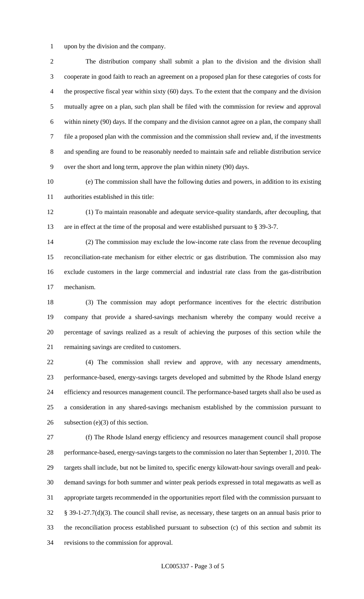upon by the division and the company.

 The distribution company shall submit a plan to the division and the division shall cooperate in good faith to reach an agreement on a proposed plan for these categories of costs for the prospective fiscal year within sixty (60) days. To the extent that the company and the division mutually agree on a plan, such plan shall be filed with the commission for review and approval within ninety (90) days. If the company and the division cannot agree on a plan, the company shall file a proposed plan with the commission and the commission shall review and, if the investments and spending are found to be reasonably needed to maintain safe and reliable distribution service over the short and long term, approve the plan within ninety (90) days.

 (e) The commission shall have the following duties and powers, in addition to its existing authorities established in this title:

 (1) To maintain reasonable and adequate service-quality standards, after decoupling, that are in effect at the time of the proposal and were established pursuant to § 39-3-7.

 (2) The commission may exclude the low-income rate class from the revenue decoupling reconciliation-rate mechanism for either electric or gas distribution. The commission also may exclude customers in the large commercial and industrial rate class from the gas-distribution mechanism.

 (3) The commission may adopt performance incentives for the electric distribution company that provide a shared-savings mechanism whereby the company would receive a percentage of savings realized as a result of achieving the purposes of this section while the remaining savings are credited to customers.

 (4) The commission shall review and approve, with any necessary amendments, performance-based, energy-savings targets developed and submitted by the Rhode Island energy efficiency and resources management council. The performance-based targets shall also be used as a consideration in any shared-savings mechanism established by the commission pursuant to 26 subsection  $(e)(3)$  of this section.

 (f) The Rhode Island energy efficiency and resources management council shall propose performance-based, energy-savings targets to the commission no later than September 1, 2010. The targets shall include, but not be limited to, specific energy kilowatt-hour savings overall and peak- demand savings for both summer and winter peak periods expressed in total megawatts as well as appropriate targets recommended in the opportunities report filed with the commission pursuant to § 39-1-27.7(d)(3). The council shall revise, as necessary, these targets on an annual basis prior to the reconciliation process established pursuant to subsection (c) of this section and submit its revisions to the commission for approval.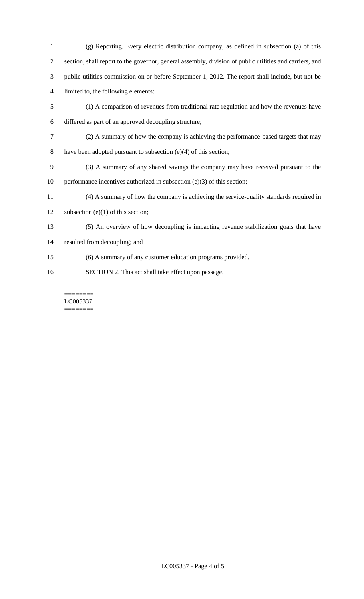(g) Reporting. Every electric distribution company, as defined in subsection (a) of this section, shall report to the governor, general assembly, division of public utilities and carriers, and public utilities commission on or before September 1, 2012. The report shall include, but not be limited to, the following elements: (1) A comparison of revenues from traditional rate regulation and how the revenues have differed as part of an approved decoupling structure; (2) A summary of how the company is achieving the performance-based targets that may 8 have been adopted pursuant to subsection (e)(4) of this section; (3) A summary of any shared savings the company may have received pursuant to the performance incentives authorized in subsection (e)(3) of this section; (4) A summary of how the company is achieving the service-quality standards required in 12 subsection (e)(1) of this section; (5) An overview of how decoupling is impacting revenue stabilization goals that have resulted from decoupling; and (6) A summary of any customer education programs provided. SECTION 2. This act shall take effect upon passage.

======== LC005337 ========